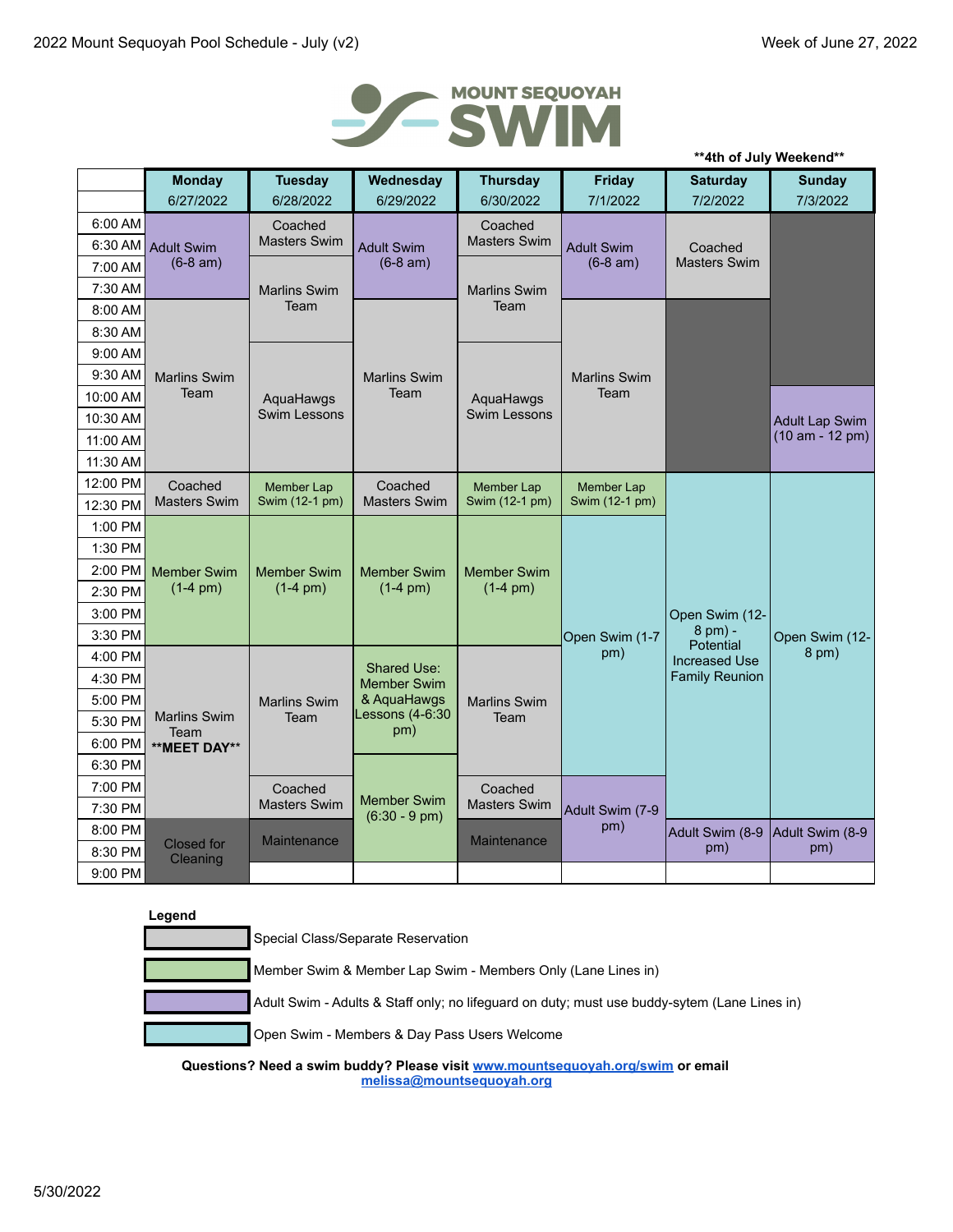

|          |                               |                     |                                               |                     |                     |                                | **4th of July Weekend** |
|----------|-------------------------------|---------------------|-----------------------------------------------|---------------------|---------------------|--------------------------------|-------------------------|
|          | <b>Monday</b>                 | <b>Tuesday</b>      | Wednesday                                     | <b>Thursday</b>     | <b>Friday</b>       | <b>Saturday</b>                | <b>Sunday</b>           |
|          | 6/27/2022                     | 6/28/2022           | 6/29/2022                                     | 6/30/2022           | 7/1/2022            | 7/2/2022                       | 7/3/2022                |
| 6:00 AM  |                               | Coached             | <b>Adult Swim</b>                             | Coached             |                     |                                |                         |
| 6:30 AM  | <b>Adult Swim</b>             | <b>Masters Swim</b> |                                               | <b>Masters Swim</b> | <b>Adult Swim</b>   | Coached<br><b>Masters Swim</b> |                         |
| 7:00 AM  | $(6-8 am)$                    |                     | $(6-8 am)$                                    |                     | $(6-8 am)$          |                                |                         |
| 7:30 AM  |                               | <b>Marlins Swim</b> |                                               | <b>Marlins Swim</b> |                     |                                |                         |
| 8:00 AM  |                               | Team                |                                               | Team                |                     |                                |                         |
| 8:30 AM  |                               |                     |                                               |                     |                     |                                |                         |
| 9:00 AM  |                               |                     |                                               |                     |                     |                                |                         |
| 9:30 AM  | <b>Marlins Swim</b>           |                     | <b>Marlins Swim</b>                           |                     | <b>Marlins Swim</b> |                                |                         |
| 10:00 AM | Team                          | AquaHawgs           | Team                                          | AquaHawgs           | Team                |                                |                         |
| 10:30 AM |                               | Swim Lessons        |                                               | Swim Lessons        |                     |                                | <b>Adult Lap Swim</b>   |
| 11:00 AM |                               |                     |                                               |                     |                     |                                | (10 am - 12 pm)         |
| 11:30 AM |                               |                     |                                               |                     |                     |                                |                         |
| 12:00 PM | Coached                       | <b>Member Lap</b>   | Coached                                       | Member Lap          | <b>Member Lap</b>   |                                |                         |
| 12:30 PM | <b>Masters Swim</b>           | Swim (12-1 pm)      | <b>Masters Swim</b>                           | Swim (12-1 pm)      | Swim (12-1 pm)      |                                |                         |
| 1:00 PM  |                               |                     |                                               |                     |                     |                                |                         |
| 1:30 PM  |                               |                     |                                               |                     |                     | Open Swim (12-                 |                         |
| 2:00 PM  | <b>Member Swim</b>            | <b>Member Swim</b>  | <b>Member Swim</b>                            | <b>Member Swim</b>  |                     |                                |                         |
| 2:30 PM  | $(1-4)$ pm)                   | $(1-4 pm)$          | $(1-4)$ pm)                                   | $(1-4)$ pm)         |                     |                                |                         |
| 3:00 PM  |                               |                     |                                               |                     |                     |                                |                         |
| 3:30 PM  |                               |                     |                                               |                     | Open Swim (1-7      | 8 pm) -<br>Potential           | Open Swim (12-          |
| 4:00 PM  |                               |                     | <b>Shared Use:</b>                            |                     | pm)                 | <b>Increased Use</b>           | 8 pm)                   |
| 4:30 PM  |                               |                     | <b>Member Swim</b>                            |                     |                     | <b>Family Reunion</b>          |                         |
| 5:00 PM  |                               | <b>Marlins Swim</b> | & AquaHawgs                                   | <b>Marlins Swim</b> |                     |                                |                         |
| 5:30 PM  | Marlins Swim<br>Team          | Team                | essons (4-6:30<br>pm)                         | Team                |                     |                                |                         |
| 6:00 PM  | **MEET DAY**                  |                     |                                               |                     |                     |                                |                         |
| 6:30 PM  |                               |                     |                                               |                     |                     |                                |                         |
| 7:00 PM  |                               | Coached             |                                               | Coached             |                     |                                |                         |
| 7:30 PM  |                               | <b>Masters Swim</b> | <b>Member Swim</b><br>$(6:30 - 9 \text{ pm})$ | <b>Masters Swim</b> | Adult Swim (7-9     |                                |                         |
| 8:00 PM  |                               | Maintenance         |                                               | <b>Maintenance</b>  | pm)                 | Adult Swim (8-9                | Adult Swim (8-9         |
| 8:30 PM  | <b>Closed</b> for<br>Cleaning |                     |                                               |                     |                     | pm)                            | pm)                     |
| 9:00 PM  |                               |                     |                                               |                     |                     |                                |                         |

| Special Class/Separate Reservation                                                           |
|----------------------------------------------------------------------------------------------|
| Member Swim & Member Lap Swim - Members Only (Lane Lines in)                                 |
| Adult Swim - Adults & Staff only; no lifeguard on duty; must use buddy-sytem (Lane Lines in) |
| Open Swim - Members & Day Pass Users Welcome                                                 |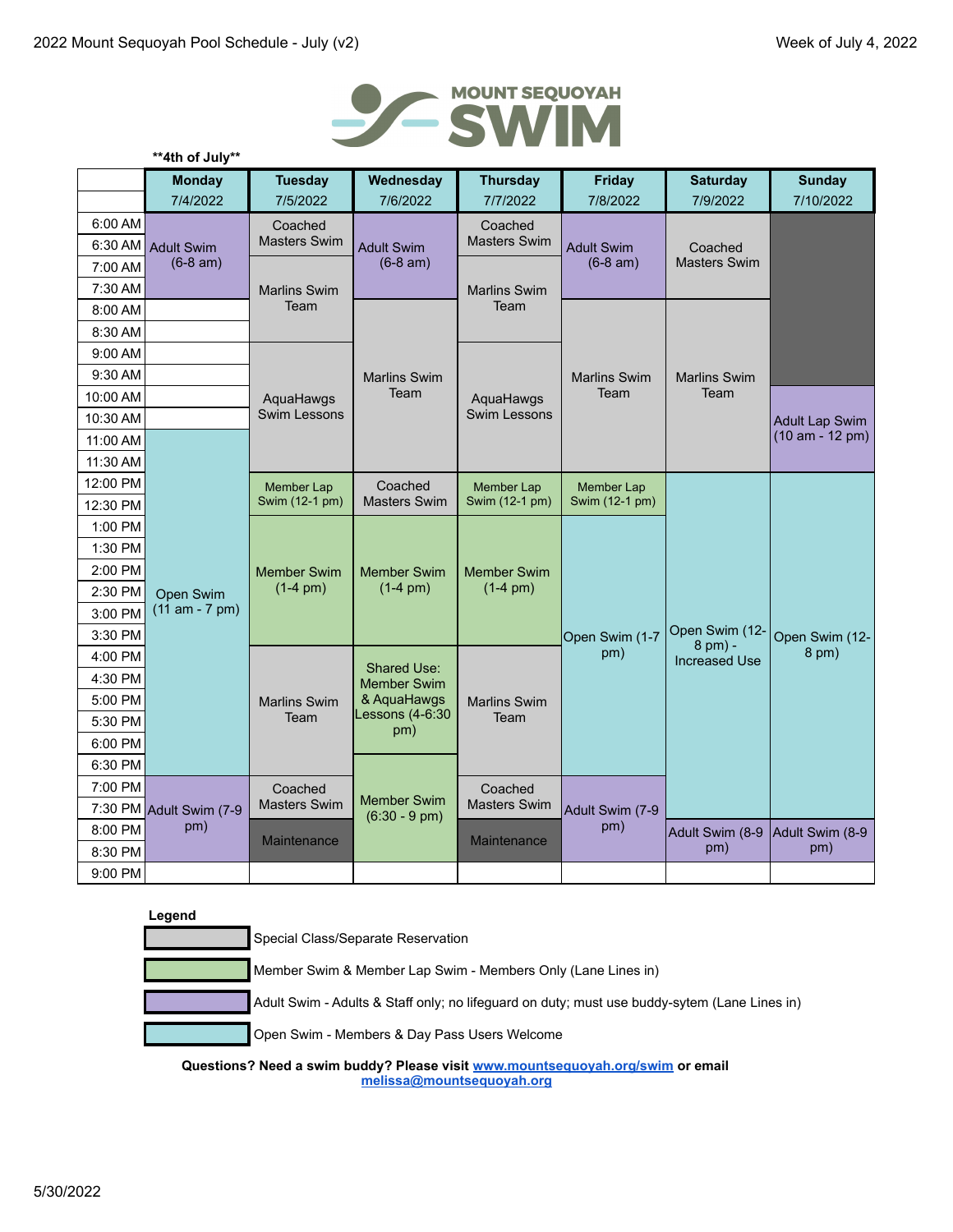

|                    | **4th of July**               |                                  |                                   |                                   |                        |                                |                         |
|--------------------|-------------------------------|----------------------------------|-----------------------------------|-----------------------------------|------------------------|--------------------------------|-------------------------|
|                    | <b>Monday</b>                 | <b>Tuesday</b>                   | Wednesday                         | <b>Thursday</b>                   | <b>Friday</b>          | <b>Saturday</b>                | <b>Sunday</b>           |
|                    | 7/4/2022                      | 7/5/2022                         | 7/6/2022                          | 7/7/2022                          | 7/8/2022               | 7/9/2022                       | 7/10/2022               |
| 6:00 AM            |                               | Coached                          |                                   | Coached<br><b>Masters Swim</b>    |                        | Coached<br><b>Masters Swim</b> |                         |
| 6:30 AM            | <b>Adult Swim</b>             | <b>Masters Swim</b>              | <b>Adult Swim</b>                 |                                   | <b>Adult Swim</b>      |                                |                         |
| 7:00 AM            | $(6-8 am)$                    |                                  | $(6-8 am)$                        |                                   | $(6-8 am)$             |                                |                         |
| 7:30 AM            |                               | <b>Marlins Swim</b>              |                                   | <b>Marlins Swim</b>               |                        |                                |                         |
| 8:00 AM            |                               | Team                             |                                   | Team                              |                        |                                |                         |
| 8:30 AM            |                               |                                  |                                   |                                   |                        |                                |                         |
| 9:00 AM            |                               |                                  |                                   |                                   |                        |                                |                         |
| 9:30 AM            |                               |                                  | <b>Marlins Swim</b>               |                                   | <b>Marlins Swim</b>    | <b>Marlins Swim</b>            |                         |
| 10:00 AM           |                               | AquaHawgs                        | Team                              | AquaHawgs                         | Team                   | Team                           |                         |
| 10:30 AM           |                               | <b>Swim Lessons</b>              |                                   | <b>Swim Lessons</b>               |                        |                                | Adult Lap Swim          |
| 11:00 AM           |                               |                                  |                                   |                                   |                        |                                | $(10 am - 12 pm)$       |
| 11:30 AM           |                               |                                  |                                   |                                   |                        |                                |                         |
| 12:00 PM           |                               | <b>Member Lap</b>                | Coached<br><b>Masters Swim</b>    | Member Lap                        | <b>Member Lap</b>      |                                |                         |
| 12:30 PM           |                               | Swim (12-1 pm)                   |                                   | Swim (12-1 pm)                    | Swim (12-1 pm)         |                                |                         |
| 1:00 PM            |                               |                                  |                                   |                                   |                        | Open Swim (12-                 |                         |
| 1:30 PM            |                               |                                  |                                   | <b>Member Swim</b><br>$(1-4)$ pm) |                        |                                |                         |
| 2:00 PM            |                               | <b>Member Swim</b><br>$(1-4 pm)$ | <b>Member Swim</b><br>$(1-4)$ pm) |                                   |                        |                                |                         |
| 2:30 PM            | Open Swim<br>$(11 am - 7 pm)$ |                                  |                                   |                                   |                        |                                |                         |
| 3:00 PM            |                               |                                  |                                   |                                   |                        |                                |                         |
| 3:30 PM            |                               |                                  |                                   |                                   | Open Swim (1-7<br>pm)  | 8 pm) -                        | Open Swim (12-<br>8 pm) |
| 4:00 PM            |                               |                                  | <b>Shared Use:</b>                |                                   |                        | <b>Increased Use</b>           |                         |
| 4:30 PM<br>5:00 PM |                               |                                  | <b>Member Swim</b><br>& AquaHawgs |                                   |                        |                                |                         |
| 5:30 PM            |                               | <b>Marlins Swim</b><br>Team      | Lessons (4-6:30                   | <b>Marlins Swim</b><br>Team       |                        |                                |                         |
| 6:00 PM            |                               |                                  | pm)                               |                                   |                        |                                |                         |
| 6:30 PM            |                               |                                  |                                   |                                   |                        |                                |                         |
| 7:00 PM            |                               |                                  |                                   |                                   |                        |                                |                         |
|                    | 7:30 PM Adult Swim (7-9       | Coached<br><b>Masters Swim</b>   | <b>Member Swim</b>                | Coached<br><b>Masters Swim</b>    |                        |                                |                         |
| 8:00 PM            | pm)                           |                                  | $(6:30 - 9 \text{ pm})$           |                                   | Adult Swim (7-9<br>pm) | Adult Swim (8-9                | Adult Swim (8-9         |
| 8:30 PM            |                               | Maintenance                      |                                   | Maintenance                       |                        | pm)                            | pm)                     |
| 9:00 PM            |                               |                                  |                                   |                                   |                        |                                |                         |
|                    |                               |                                  |                                   |                                   |                        |                                |                         |

| Special Class/Separate Reservation                                                           |
|----------------------------------------------------------------------------------------------|
| Member Swim & Member Lap Swim - Members Only (Lane Lines in)                                 |
| Adult Swim - Adults & Staff only; no lifeguard on duty; must use buddy-sytem (Lane Lines in) |
| Open Swim - Members & Day Pass Users Welcome                                                 |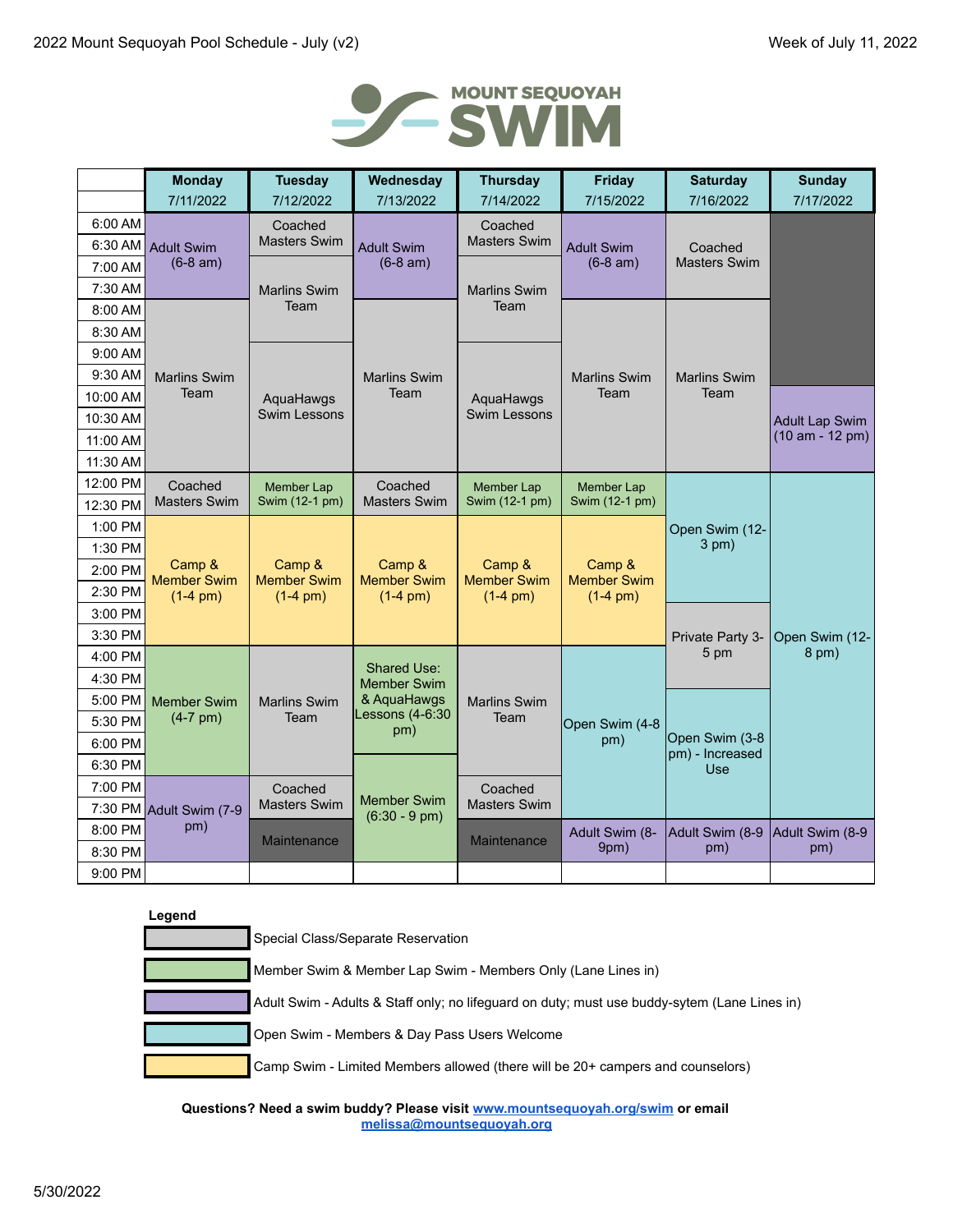

|                    | <b>Monday</b>                  | <b>Tuesday</b>                      | Wednesday                         | <b>Thursday</b>                             | <b>Friday</b>                               | <b>Saturday</b>                | <b>Sunday</b>                            |
|--------------------|--------------------------------|-------------------------------------|-----------------------------------|---------------------------------------------|---------------------------------------------|--------------------------------|------------------------------------------|
|                    | 7/11/2022                      | 7/12/2022                           | 7/13/2022                         | 7/14/2022                                   | 7/15/2022                                   | 7/16/2022                      | 7/17/2022                                |
| 6:00 AM            | <b>Adult Swim</b>              | Coached                             |                                   | Coached                                     |                                             | Coached<br><b>Masters Swim</b> |                                          |
| 6:30 AM            |                                | <b>Masters Swim</b>                 | <b>Adult Swim</b>                 | <b>Masters Swim</b>                         | <b>Adult Swim</b>                           |                                |                                          |
| 7:00 AM            | $(6-8 am)$                     |                                     | $(6-8 am)$                        |                                             | $(6-8 am)$                                  |                                |                                          |
| 7:30 AM            |                                | <b>Marlins Swim</b>                 |                                   | <b>Marlins Swim</b>                         |                                             |                                |                                          |
| 8:00 AM            |                                | Team                                |                                   | Team                                        |                                             |                                |                                          |
| 8:30 AM            |                                |                                     |                                   |                                             |                                             |                                |                                          |
| $9:00$ AM          |                                |                                     |                                   |                                             |                                             |                                |                                          |
| 9:30 AM            | <b>Marlins Swim</b>            |                                     | <b>Marlins Swim</b>               |                                             | <b>Marlins Swim</b>                         | <b>Marlins Swim</b>            |                                          |
| 10:00 AM           | Team                           | AquaHawgs                           | Team                              | AquaHawgs                                   | Team                                        | Team                           |                                          |
| 10:30 AM           |                                | <b>Swim Lessons</b>                 |                                   | <b>Swim Lessons</b>                         |                                             |                                | <b>Adult Lap Swim</b><br>(10 am - 12 pm) |
| 11:00 AM           |                                |                                     |                                   |                                             |                                             |                                |                                          |
| 11:30 AM           |                                |                                     |                                   |                                             |                                             |                                |                                          |
| 12:00 PM           | Coached<br><b>Masters Swim</b> | <b>Member Lap</b><br>Swim (12-1 pm) | Coached<br><b>Masters Swim</b>    | Member Lap<br>Swim (12-1 pm)                | <b>Member Lap</b><br>Swim (12-1 pm)         |                                |                                          |
| 12:30 PM           |                                |                                     |                                   |                                             |                                             |                                |                                          |
| 1:00 PM            |                                |                                     |                                   |                                             | Camp &<br><b>Member Swim</b><br>$(1-4)$ pm) | Open Swim (12-<br>$3$ pm $)$   |                                          |
| 1:30 PM            | Camp &                         | Camp &                              | Camp &<br><b>Member Swim</b>      | Camp &<br><b>Member Swim</b><br>$(1-4)$ pm) |                                             |                                |                                          |
| 2:00 PM            | <b>Member Swim</b>             | <b>Member Swim</b>                  |                                   |                                             |                                             |                                |                                          |
| 2:30 PM<br>3:00 PM | $(1-4)$ pm)                    | $(1-4)$ pm)                         | $(1-4)$ pm)                       |                                             |                                             |                                |                                          |
| 3:30 PM            |                                |                                     |                                   |                                             |                                             |                                |                                          |
| 4:00 PM            |                                |                                     |                                   |                                             |                                             | Private Party 3-<br>5 pm       | Open Swim (12-<br>8 pm)                  |
| 4:30 PM            |                                |                                     | <b>Shared Use:</b>                |                                             |                                             |                                |                                          |
| 5:00 PM            | <b>Member Swim</b>             | <b>Marlins Swim</b>                 | <b>Member Swim</b><br>& AquaHawgs | <b>Marlins Swim</b>                         |                                             |                                |                                          |
| 5:30 PM            | $(4-7)$ pm)                    | Team                                | Lessons (4-6:30                   | Team                                        | Open Swim (4-8                              |                                |                                          |
| 6:00 PM            |                                |                                     | pm)                               |                                             | pm)                                         | Open Swim (3-8                 |                                          |
| 6:30 PM            |                                |                                     |                                   |                                             |                                             | pm) - Increased<br><b>Use</b>  |                                          |
| 7:00 PM            | 7:30 PM Adult Swim (7-9        | Coached                             |                                   | Coached                                     |                                             |                                |                                          |
|                    |                                | <b>Masters Swim</b>                 | <b>Member Swim</b>                | <b>Masters Swim</b>                         |                                             |                                |                                          |
| 8:00 PM            | pm)                            |                                     | $(6:30 - 9 \text{ pm})$           |                                             | Adult Swim (8-                              | Adult Swim (8-9                | Adult Swim (8-9                          |
| 8:30 PM            |                                | Maintenance                         |                                   | <b>Maintenance</b>                          | 9pm)                                        | pm)                            | pm)                                      |
| 9:00 PM            |                                |                                     |                                   |                                             |                                             |                                |                                          |

| Special Class/Separate Reservation                                                           |
|----------------------------------------------------------------------------------------------|
| Member Swim & Member Lap Swim - Members Only (Lane Lines in)                                 |
| Adult Swim - Adults & Staff only; no lifeguard on duty; must use buddy-sytem (Lane Lines in) |
| Open Swim - Members & Day Pass Users Welcome                                                 |
| Camp Swim - Limited Members allowed (there will be 20+ campers and counselors)               |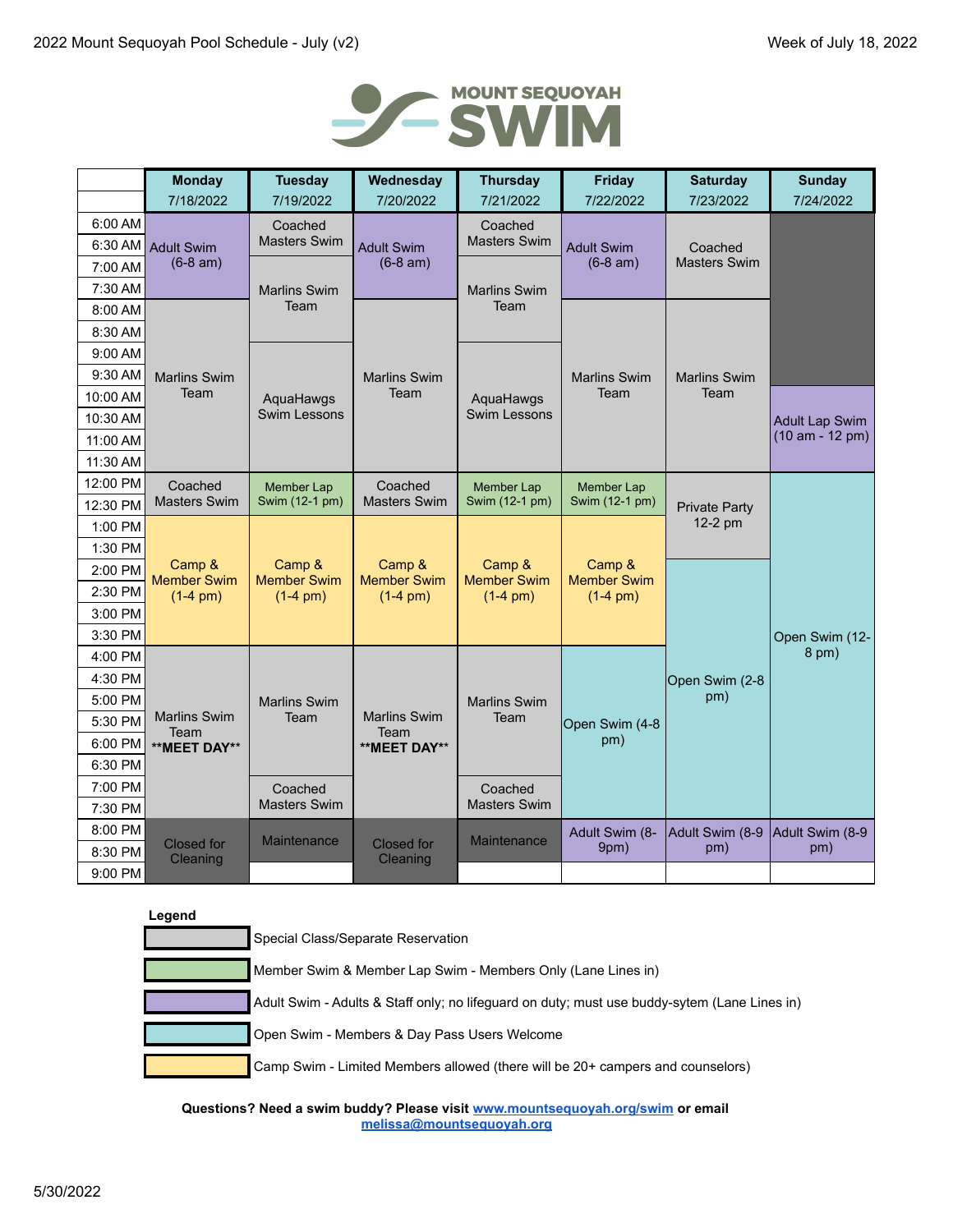

|                    | <b>Monday</b>                                                                              | <b>Tuesday</b>               | Wednesday                                 | <b>Thursday</b>                | <b>Friday</b>                | <b>Saturday</b>                 | <b>Sunday</b>                              |
|--------------------|--------------------------------------------------------------------------------------------|------------------------------|-------------------------------------------|--------------------------------|------------------------------|---------------------------------|--------------------------------------------|
|                    | 7/18/2022                                                                                  | 7/19/2022                    | 7/20/2022                                 | 7/21/2022                      | 7/22/2022                    | 7/23/2022                       | 7/24/2022                                  |
| 6:00 AM            |                                                                                            | Coached                      |                                           | Coached<br><b>Masters Swim</b> |                              |                                 |                                            |
| 6:30 AM            | <b>Adult Swim</b>                                                                          | <b>Masters Swim</b>          | <b>Adult Swim</b>                         |                                | <b>Adult Swim</b>            | Coached<br><b>Masters Swim</b>  |                                            |
| 7:00 AM            | $(6-8 am)$                                                                                 |                              | $(6-8 am)$                                |                                | $(6-8 am)$                   |                                 |                                            |
| 7:30 AM            |                                                                                            | <b>Marlins Swim</b>          |                                           | <b>Marlins Swim</b>            |                              |                                 |                                            |
| 8:00 AM            |                                                                                            | Team                         |                                           | Team                           |                              |                                 |                                            |
| 8:30 AM            |                                                                                            |                              |                                           |                                |                              |                                 |                                            |
| 9:00 AM            |                                                                                            |                              |                                           |                                |                              |                                 |                                            |
| 9:30 AM            | <b>Marlins Swim</b>                                                                        |                              | <b>Marlins Swim</b>                       |                                | <b>Marlins Swim</b>          | <b>Marlins Swim</b>             |                                            |
| 10:00 AM           | Team                                                                                       | AquaHawgs<br>Swim Lessons    | Team                                      | AquaHawgs<br>Swim Lessons      | Team                         | Team                            |                                            |
| 10:30 AM           |                                                                                            |                              |                                           |                                |                              |                                 | <b>Adult Lap Swim</b><br>$(10 am - 12 pm)$ |
| 11:00 AM           |                                                                                            |                              |                                           |                                |                              |                                 |                                            |
| 11:30 AM           |                                                                                            |                              |                                           |                                |                              |                                 |                                            |
| 12:00 PM           | Coached<br><b>Masters Swim</b>                                                             | Member Lap<br>Swim (12-1 pm) | Coached<br><b>Masters Swim</b>            | Member Lap<br>Swim (12-1 pm)   | Member Lap<br>Swim (12-1 pm) | <b>Private Party</b><br>12-2 pm |                                            |
| 12:30 PM           |                                                                                            |                              |                                           |                                |                              |                                 |                                            |
| 1:00 PM            |                                                                                            |                              |                                           |                                |                              |                                 |                                            |
| 1:30 PM<br>2:00 PM | Camp &<br>Camp &<br><b>Member Swim</b><br><b>Member Swim</b><br>$(1-4)$ pm)<br>$(1-4)$ pm) | Camp &<br><b>Member Swim</b> | Camp &<br><b>Member Swim</b>              | Camp &<br><b>Member Swim</b>   |                              |                                 |                                            |
| 2:30 PM            |                                                                                            |                              |                                           |                                |                              |                                 |                                            |
| 3:00 PM            |                                                                                            |                              | $(1-4)$ pm)<br>$(1-4)$ pm)<br>$(1-4)$ pm) |                                |                              |                                 |                                            |
| 3:30 PM            |                                                                                            |                              |                                           |                                |                              |                                 | Open Swim (12-                             |
| 4:00 PM            |                                                                                            |                              |                                           |                                |                              |                                 | 8 pm)                                      |
| 4:30 PM            |                                                                                            |                              |                                           |                                |                              | Open Swim (2-8                  |                                            |
| 5:00 PM            |                                                                                            | <b>Marlins Swim</b>          |                                           | <b>Marlins Swim</b>            |                              | pm)                             |                                            |
| 5:30 PM            | <b>Marlins Swim</b>                                                                        | Team                         | <b>Marlins Swim</b>                       | Team                           | Open Swim (4-8               |                                 |                                            |
| 6:00 PM            | Team<br>**MEET DAY**                                                                       |                              | Team<br>**MEET DAY**                      |                                | pm)                          |                                 |                                            |
| 6:30 PM            |                                                                                            |                              |                                           |                                |                              |                                 |                                            |
| 7:00 PM            |                                                                                            | Coached                      |                                           | Coached                        |                              |                                 |                                            |
| 7:30 PM            |                                                                                            | <b>Masters Swim</b>          |                                           | <b>Masters Swim</b>            |                              |                                 |                                            |
| 8:00 PM            |                                                                                            |                              |                                           |                                | Adult Swim (8-               | Adult Swim (8-9                 | Adult Swim (8-9                            |
| 8:30 PM            | <b>Closed for</b><br>Cleaning                                                              | <b>Maintenance</b>           | <b>Closed</b> for<br>Cleaning             | Maintenance                    | 9pm)                         | pm)                             | pm)                                        |
| 9:00 PM            |                                                                                            |                              |                                           |                                |                              |                                 |                                            |

| Special Class/Separate Reservation                                                           |
|----------------------------------------------------------------------------------------------|
| Member Swim & Member Lap Swim - Members Only (Lane Lines in)                                 |
| Adult Swim - Adults & Staff only; no lifeguard on duty; must use buddy-sytem (Lane Lines in) |
| Open Swim - Members & Day Pass Users Welcome                                                 |
| Camp Swim - Limited Members allowed (there will be 20+ campers and counselors)               |